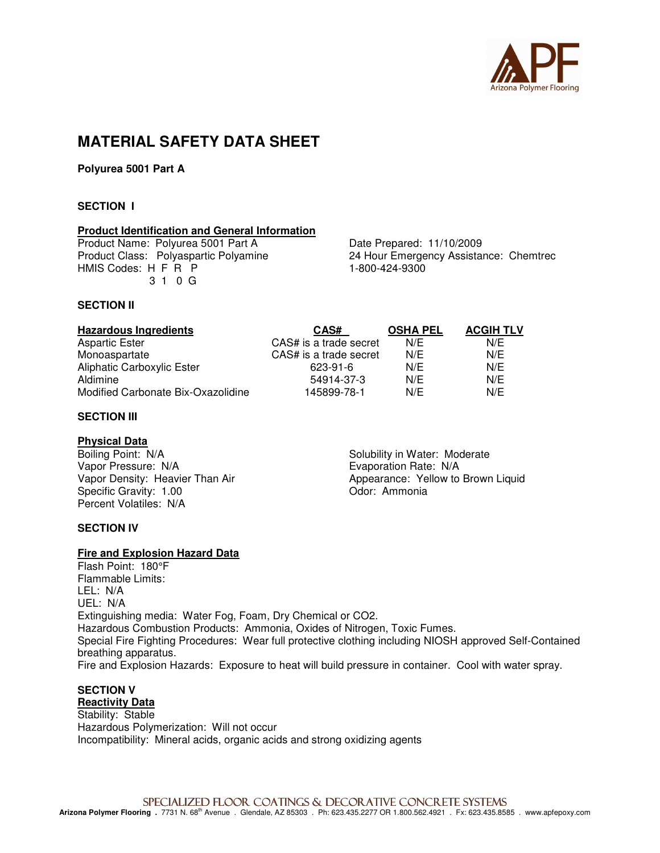

## **MATERIAL SAFETY DATA SHEET**

**Polyurea 5001 Part A** 

#### **SECTION I**

#### **Product Identification and General Information**

Product Name: Polyurea 5001 Part A<br>
Product Class: Polyaspartic Polyamine<br>
24 Hour Emergency Assistal HMIS Codes: H F R P 3 1 0 G

24 Hour Emergency Assistance: Chemtrec<br>1-800-424-9300

#### **SECTION II**

| <b>Hazardous Ingredients</b>       | CAS#                   | <b>OSHA PEL</b> | <b>ACGIH TLV</b> |
|------------------------------------|------------------------|-----------------|------------------|
| Aspartic Ester                     | CAS# is a trade secret | N/E             | N/E              |
| Monoaspartate                      | CAS# is a trade secret | N/E             | N/E              |
| <b>Aliphatic Carboxylic Ester</b>  | 623-91-6               | N/E             | N/E              |
| Aldimine                           | 54914-37-3             | N/E             | N/E              |
| Modified Carbonate Bix-Oxazolidine | 145899-78-1            | N/E             | N/E              |

#### **SECTION III**

#### **Physical Data**

Boiling Point: N/A Solubility in Water: Moderate Vapor Pressure: N/A<br>
Vapor Density: Heavier Than Air<br>
Vapor Density: Heavier Than Air<br>
Vapor Density: Heavier Than Air<br>
Vapor Density: Heavier Than Air Specific Gravity: 1.00 Percent Volatiles: N/A

Appearance: Yellow to Brown Liquid Odor: Ammonia

#### **SECTION IV**

#### **Fire and Explosion Hazard Data**

Flash Point: 180°F Flammable Limits: LEL: N/A UEL: N/A Extinguishing media: Water Fog, Foam, Dry Chemical or CO2. Hazardous Combustion Products: Ammonia, Oxides of Nitrogen, Toxic Fumes. Special Fire Fighting Procedures: Wear full protective clothing including NIOSH approved Self-Contained breathing apparatus. Fire and Explosion Hazards: Exposure to heat will build pressure in container. Cool with water spray.

#### **SECTION V Reactivity Data**

Stability: Stable Hazardous Polymerization: Will not occur Incompatibility: Mineral acids, organic acids and strong oxidizing agents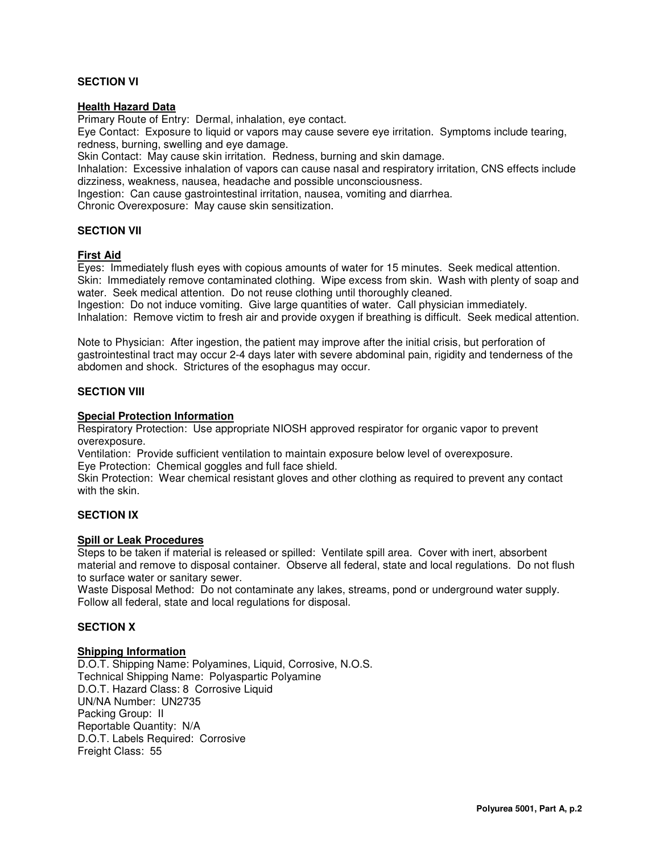#### **SECTION VI**

#### **Health Hazard Data**

Primary Route of Entry: Dermal, inhalation, eye contact.

Eye Contact: Exposure to liquid or vapors may cause severe eye irritation. Symptoms include tearing, redness, burning, swelling and eye damage.

Skin Contact: May cause skin irritation. Redness, burning and skin damage.

Inhalation: Excessive inhalation of vapors can cause nasal and respiratory irritation, CNS effects include dizziness, weakness, nausea, headache and possible unconsciousness.

Ingestion: Can cause gastrointestinal irritation, nausea, vomiting and diarrhea.

Chronic Overexposure: May cause skin sensitization.

#### **SECTION VII**

#### **First Aid**

Eyes: Immediately flush eyes with copious amounts of water for 15 minutes. Seek medical attention. Skin: Immediately remove contaminated clothing. Wipe excess from skin. Wash with plenty of soap and water. Seek medical attention. Do not reuse clothing until thoroughly cleaned.

Ingestion: Do not induce vomiting. Give large quantities of water. Call physician immediately. Inhalation: Remove victim to fresh air and provide oxygen if breathing is difficult. Seek medical attention.

Note to Physician: After ingestion, the patient may improve after the initial crisis, but perforation of gastrointestinal tract may occur 2-4 days later with severe abdominal pain, rigidity and tenderness of the abdomen and shock. Strictures of the esophagus may occur.

#### **SECTION VIII**

#### **Special Protection Information**

Respiratory Protection: Use appropriate NIOSH approved respirator for organic vapor to prevent overexposure.

Ventilation: Provide sufficient ventilation to maintain exposure below level of overexposure.

Eye Protection: Chemical goggles and full face shield.

Skin Protection: Wear chemical resistant gloves and other clothing as required to prevent any contact with the skin.

#### **SECTION IX**

### **Spill or Leak Procedures**

Steps to be taken if material is released or spilled: Ventilate spill area. Cover with inert, absorbent material and remove to disposal container. Observe all federal, state and local regulations. Do not flush to surface water or sanitary sewer.

Waste Disposal Method: Do not contaminate any lakes, streams, pond or underground water supply. Follow all federal, state and local regulations for disposal.

#### **SECTION X**

#### **Shipping Information**

D.O.T. Shipping Name: Polyamines, Liquid, Corrosive, N.O.S. Technical Shipping Name: Polyaspartic Polyamine D.O.T. Hazard Class: 8 Corrosive Liquid UN/NA Number: UN2735 Packing Group: II Reportable Quantity: N/A D.O.T. Labels Required: Corrosive Freight Class: 55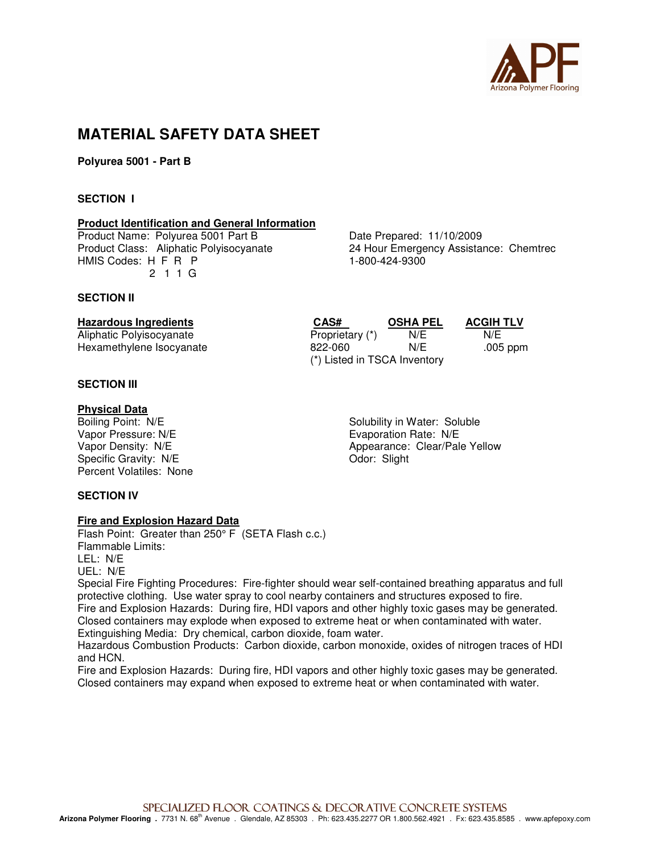

## **MATERIAL SAFETY DATA SHEET**

**Polyurea 5001 - Part B** 

#### **SECTION I**

#### **Product Identification and General Information**

Product Name: Polyurea 5001 Part B<br>
Product Class: Aliphatic Polyisocyanate 24 Hour Emergency Assistal HMIS Codes: H F R P 1-800-424-9300 2 1 1 G

#### **SECTION II**

### **SECTION III**

**SECTION IV** 

**Physical Data**<br>Boiling Point: N/E Vapor Pressure: N/E<br>
Vapor Density: N/E<br>
Vapor Density: N/E<br>
Vapor Density: N/E Specific Gravity: N/E Contract Contract Contract Contract Contract Contract Contract Contract Contract Contract Contract Contract Contract Contract Contract Contract Contract Contract Contract Contract Contract Contract Co Percent Volatiles: None

24 Hour Emergency Assistance: Chemtrec

**Hazardous Ingredients CAS# OSHA PEL ACGIH TLV** Aliphatic Polyisocyanate **Proprietary (\*)** N/E N/E N/E Hexamethylene Isocyanate **822-060** N/E .005 ppm (\*) Listed in TSCA Inventory

Boiling Point: N/E<br>
Vapor Pressure: N/E<br>
Vapor Pressure: N/E<br>
Solubility in Water: Soluble Appearance: Clear/Pale Yellow

# **Fire and Explosion Hazard Data**

Flash Point: Greater than 250° F (SETA Flash c.c.) Flammable Limits: LEL: N/E UEL: N/E

Special Fire Fighting Procedures: Fire-fighter should wear self-contained breathing apparatus and full protective clothing. Use water spray to cool nearby containers and structures exposed to fire. Fire and Explosion Hazards: During fire, HDI vapors and other highly toxic gases may be generated. Closed containers may explode when exposed to extreme heat or when contaminated with water. Extinguishing Media: Dry chemical, carbon dioxide, foam water.

Hazardous Combustion Products: Carbon dioxide, carbon monoxide, oxides of nitrogen traces of HDI and HCN.

Fire and Explosion Hazards: During fire, HDI vapors and other highly toxic gases may be generated. Closed containers may expand when exposed to extreme heat or when contaminated with water.